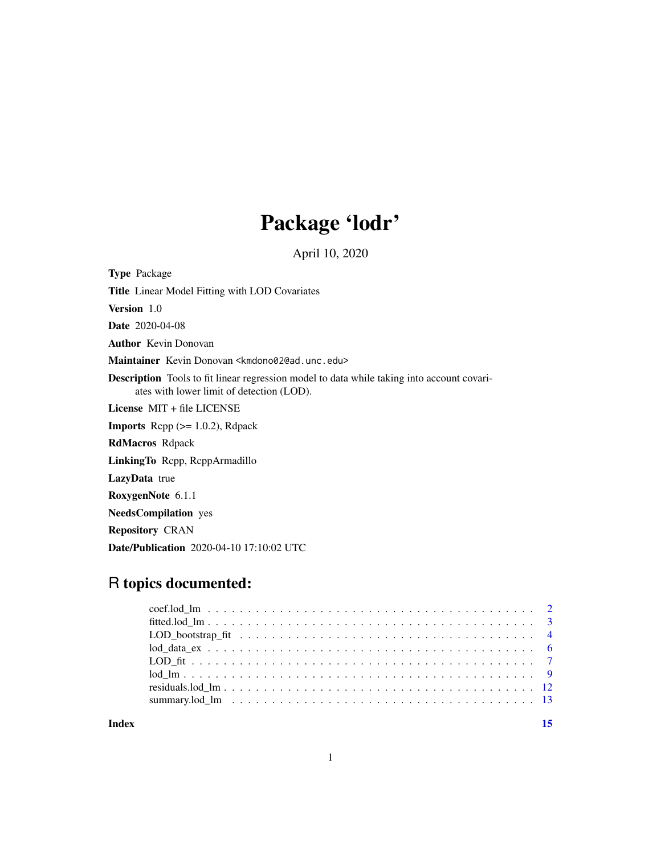## Package 'lodr'

April 10, 2020

<span id="page-0-0"></span>Type Package Title Linear Model Fitting with LOD Covariates Version 1.0 Date 2020-04-08 Author Kevin Donovan Maintainer Kevin Donovan <kmdono02@ad.unc.edu> Description Tools to fit linear regression model to data while taking into account covariates with lower limit of detection (LOD). License MIT + file LICENSE **Imports** Rcpp  $(>= 1.0.2)$ , Rdpack RdMacros Rdpack LinkingTo Rcpp, RcppArmadillo LazyData true RoxygenNote 6.1.1 NeedsCompilation yes Repository CRAN

Date/Publication 2020-04-10 17:10:02 UTC

## R topics documented:

**Index** [15](#page-14-0)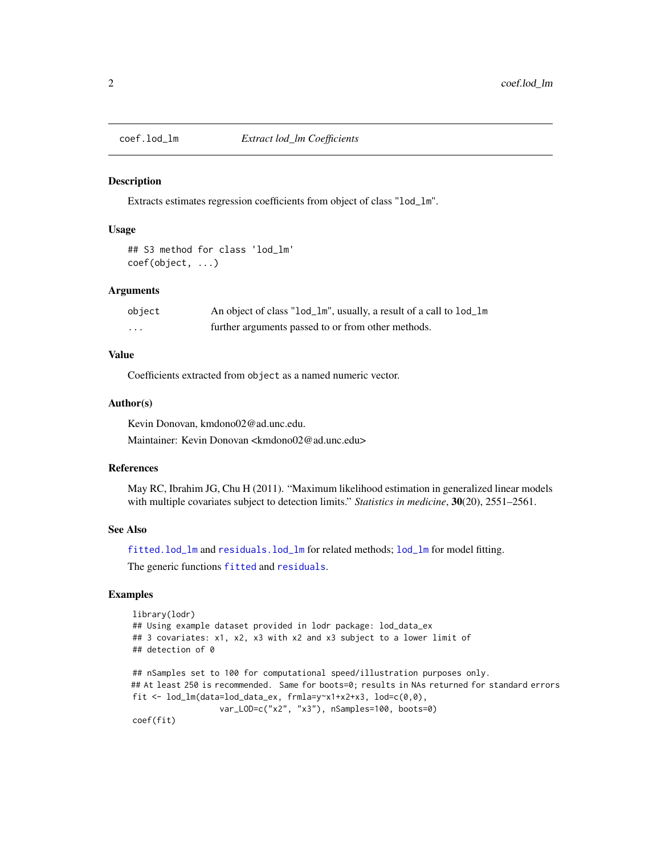<span id="page-1-1"></span><span id="page-1-0"></span>

#### Description

Extracts estimates regression coefficients from object of class "lod\_lm".

## Usage

```
## S3 method for class 'lod_lm'
coef(object, ...)
```
## Arguments

| object | An object of class "lod_lm", usually, a result of a call to lod_lm |
|--------|--------------------------------------------------------------------|
| .      | further arguments passed to or from other methods.                 |

## Value

Coefficients extracted from object as a named numeric vector.

#### Author(s)

Kevin Donovan, kmdono02@ad.unc.edu.

Maintainer: Kevin Donovan <kmdono02@ad.unc.edu>

#### References

May RC, Ibrahim JG, Chu H (2011). "Maximum likelihood estimation in generalized linear models with multiple covariates subject to detection limits." *Statistics in medicine*, 30(20), 2551–2561.

## See Also

[fitted.lod\\_lm](#page-2-1) and [residuals.lod\\_lm](#page-11-1) for related methods; [lod\\_lm](#page-8-1) for model fitting.

The generic functions [fitted](#page-0-0) and [residuals](#page-0-0).

## Examples

```
library(lodr)
## Using example dataset provided in lodr package: lod_data_ex
## 3 covariates: x1, x2, x3 with x2 and x3 subject to a lower limit of
## detection of 0
## nSamples set to 100 for computational speed/illustration purposes only.
## At least 250 is recommended. Same for boots=0; results in NAs returned for standard errors
fit \le lod_lm(data=lod_data_ex, frmla=y\approxx1+x2+x3, lod=c(0,0),
                  var_LOD=c("x2", "x3"), nSamples=100, boots=0)
coef(fit)
```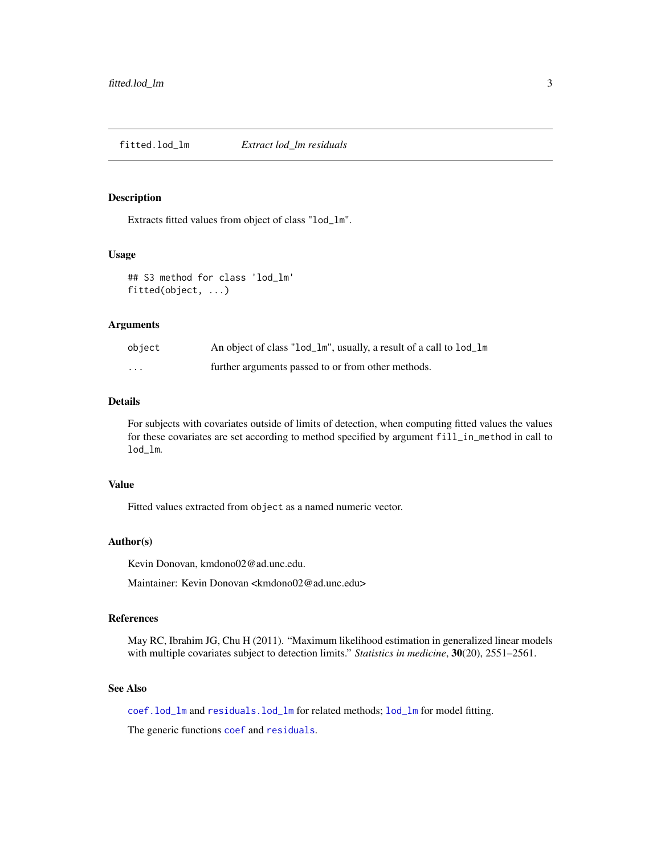<span id="page-2-1"></span><span id="page-2-0"></span>fitted.lod\_lm *Extract lod\_lm residuals*

#### Description

Extracts fitted values from object of class "lod\_lm".

#### Usage

## S3 method for class 'lod\_lm' fitted(object, ...)

## Arguments

| object  | An object of class "lod_lm", usually, a result of a call to lod_lm |
|---------|--------------------------------------------------------------------|
| $\cdot$ | further arguments passed to or from other methods.                 |

#### Details

For subjects with covariates outside of limits of detection, when computing fitted values the values for these covariates are set according to method specified by argument fill\_in\_method in call to lod\_lm.

#### Value

Fitted values extracted from object as a named numeric vector.

## Author(s)

Kevin Donovan, kmdono02@ad.unc.edu.

Maintainer: Kevin Donovan <kmdono02@ad.unc.edu>

#### References

May RC, Ibrahim JG, Chu H (2011). "Maximum likelihood estimation in generalized linear models with multiple covariates subject to detection limits." *Statistics in medicine*, 30(20), 2551–2561.

## See Also

[coef.lod\\_lm](#page-1-1) and [residuals.lod\\_lm](#page-11-1) for related methods; [lod\\_lm](#page-8-1) for model fitting.

The generic functions [coef](#page-0-0) and [residuals](#page-0-0).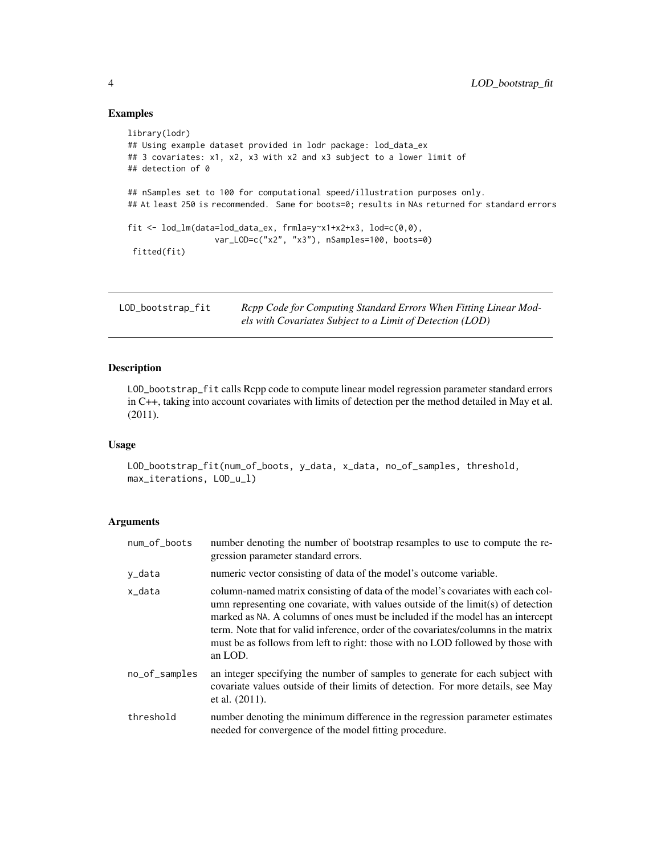## Examples

```
library(lodr)
## Using example dataset provided in lodr package: lod_data_ex
## 3 covariates: x1, x2, x3 with x2 and x3 subject to a lower limit of
## detection of 0
## nSamples set to 100 for computational speed/illustration purposes only.
## At least 250 is recommended. Same for boots=0; results in NAs returned for standard errors
fit <- lod_lm(data=lod_data_ex, frmla=y~x1+x2+x3, lod=c(0,0),
                  var_LOD=c("x2", "x3"), nSamples=100, boots=0)
 fitted(fit)
```
<span id="page-3-1"></span>LOD\_bootstrap\_fit *Rcpp Code for Computing Standard Errors When Fitting Linear Models with Covariates Subject to a Limit of Detection (LOD)*

## Description

LOD\_bootstrap\_fit calls Rcpp code to compute linear model regression parameter standard errors in C++, taking into account covariates with limits of detection per the method detailed in May et al. (2011).

## Usage

```
LOD_bootstrap_fit(num_of_boots, y_data, x_data, no_of_samples, threshold,
max_iterations, LOD_u_l)
```
## Arguments

| num_of_boots  | number denoting the number of bootstrap resamples to use to compute the re-<br>gression parameter standard errors.                                                                                                                                                                                                                                                                                                                        |
|---------------|-------------------------------------------------------------------------------------------------------------------------------------------------------------------------------------------------------------------------------------------------------------------------------------------------------------------------------------------------------------------------------------------------------------------------------------------|
| y_data        | numeric vector consisting of data of the model's outcome variable.                                                                                                                                                                                                                                                                                                                                                                        |
| x_data        | column-named matrix consisting of data of the model's covariates with each col-<br>umn representing one covariate, with values outside of the limit(s) of detection<br>marked as NA. A columns of ones must be included if the model has an intercept<br>term. Note that for valid inference, order of the covariates/columns in the matrix<br>must be as follows from left to right: those with no LOD followed by those with<br>an LOD. |
| no_of_samples | an integer specifying the number of samples to generate for each subject with<br>covariate values outside of their limits of detection. For more details, see May<br>et al. $(2011)$ .                                                                                                                                                                                                                                                    |
| threshold     | number denoting the minimum difference in the regression parameter estimates<br>needed for convergence of the model fitting procedure.                                                                                                                                                                                                                                                                                                    |

<span id="page-3-0"></span>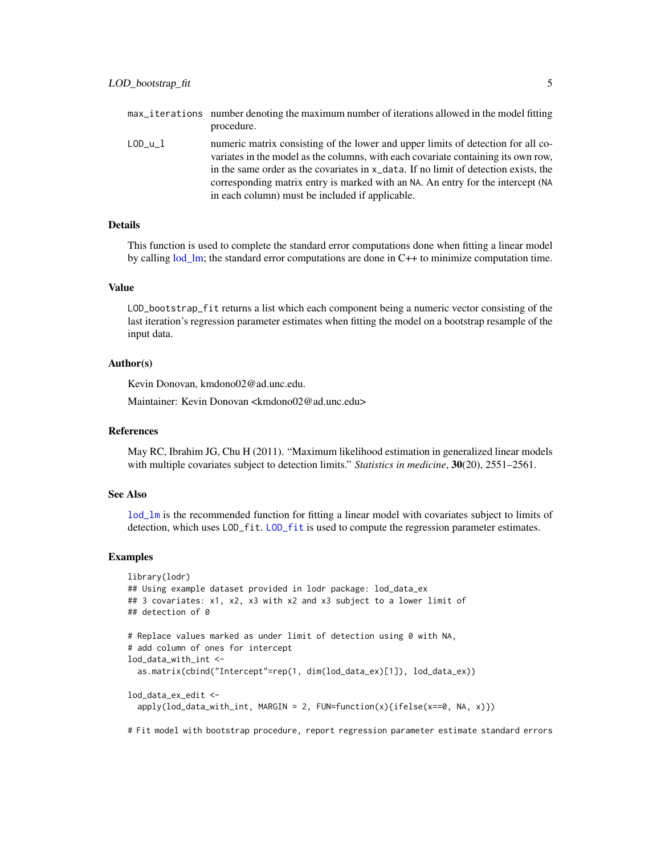<span id="page-4-0"></span>LOD<sub>\_u</sub>\_1 numeric matrix consisting of the lower and upper limits of detection for all covariates in the model as the columns, with each covariate containing its own row, in the same order as the covariates in x\_data. If no limit of detection exists, the corresponding matrix entry is marked with an NA. An entry for the intercept (NA in each column) must be included if applicable.

## Details

This function is used to complete the standard error computations done when fitting a linear model by calling [lod\\_lm;](#page-8-1) the standard error computations are done in C++ to minimize computation time.

#### Value

LOD\_bootstrap\_fit returns a list which each component being a numeric vector consisting of the last iteration's regression parameter estimates when fitting the model on a bootstrap resample of the input data.

#### Author(s)

Kevin Donovan, kmdono02@ad.unc.edu.

Maintainer: Kevin Donovan <kmdono02@ad.unc.edu>

#### References

May RC, Ibrahim JG, Chu H (2011). "Maximum likelihood estimation in generalized linear models with multiple covariates subject to detection limits." *Statistics in medicine*, 30(20), 2551–2561.

## See Also

[lod\\_lm](#page-8-1) is the recommended function for fitting a linear model with covariates subject to limits of detection, which uses [LOD\\_fit](#page-6-1). LOD\_fit is used to compute the regression parameter estimates.

#### Examples

```
library(lodr)
## Using example dataset provided in lodr package: lod_data_ex
## 3 covariates: x1, x2, x3 with x2 and x3 subject to a lower limit of
## detection of 0
# Replace values marked as under limit of detection using 0 with NA,
# add column of ones for intercept
lod_data_with_int <-
 as.matrix(cbind("Intercept"=rep(1, dim(lod_data_ex)[1]), lod_data_ex))
lod_data_ex_edit <-
 apply(lod_data_with_int, MARGIN = 2, FUN=function(x){ifelse(x==0, NA, x)})
```
# Fit model with bootstrap procedure, report regression parameter estimate standard errors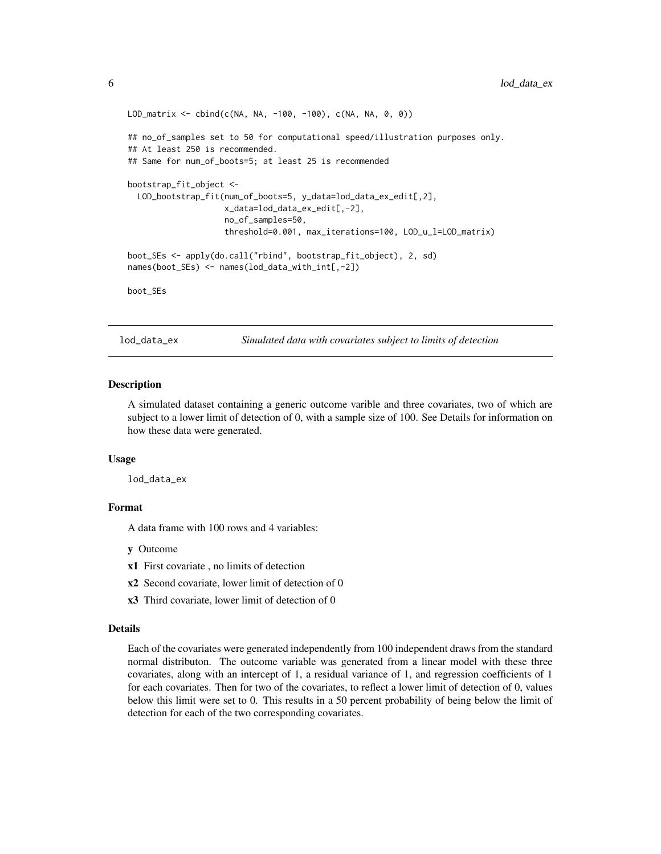```
LOD_matrix <- cbind(c(NA, NA, -100, -100), c(NA, NA, 0, 0))
## no_of_samples set to 50 for computational speed/illustration purposes only.
## At least 250 is recommended.
## Same for num_of_boots=5; at least 25 is recommended
bootstrap_fit_object <-
 LOD_bootstrap_fit(num_of_boots=5, y_data=lod_data_ex_edit[,2],
                    x_data=lod_data_ex_edit[,-2],
                    no_of_samples=50,
                    threshold=0.001, max_iterations=100, LOD_u_l=LOD_matrix)
boot_SEs <- apply(do.call("rbind", bootstrap_fit_object), 2, sd)
names(boot_SEs) <- names(lod_data_with_int[,-2])
boot_SEs
```
lod\_data\_ex *Simulated data with covariates subject to limits of detection*

#### Description

A simulated dataset containing a generic outcome varible and three covariates, two of which are subject to a lower limit of detection of 0, with a sample size of 100. See Details for information on how these data were generated.

#### Usage

lod\_data\_ex

## Format

A data frame with 100 rows and 4 variables:

y Outcome

- x1 First covariate , no limits of detection
- x2 Second covariate, lower limit of detection of 0
- x3 Third covariate, lower limit of detection of 0

#### Details

Each of the covariates were generated independently from 100 independent draws from the standard normal distributon. The outcome variable was generated from a linear model with these three covariates, along with an intercept of 1, a residual variance of 1, and regression coefficients of 1 for each covariates. Then for two of the covariates, to reflect a lower limit of detection of 0, values below this limit were set to 0. This results in a 50 percent probability of being below the limit of detection for each of the two corresponding covariates.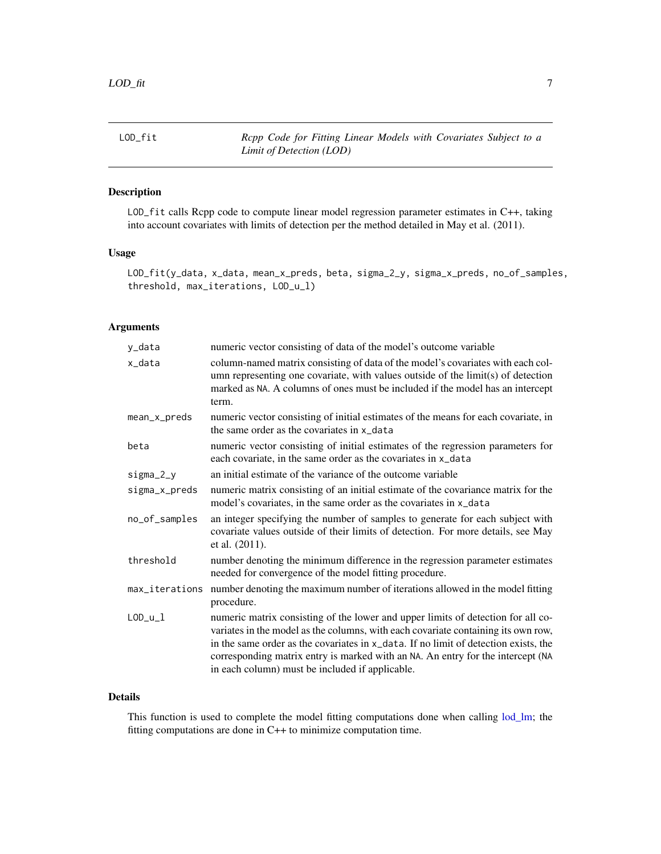<span id="page-6-1"></span><span id="page-6-0"></span>LOD\_fit *Rcpp Code for Fitting Linear Models with Covariates Subject to a Limit of Detection (LOD)*

## Description

LOD\_fit calls Rcpp code to compute linear model regression parameter estimates in C++, taking into account covariates with limits of detection per the method detailed in May et al. (2011).

#### Usage

LOD\_fit(y\_data, x\_data, mean\_x\_preds, beta, sigma\_2\_y, sigma\_x\_preds, no\_of\_samples, threshold, max\_iterations, LOD\_u\_l)

## Arguments

| y_data         | numeric vector consisting of data of the model's outcome variable                                                                                                                                                                                                                                                                                                                                  |
|----------------|----------------------------------------------------------------------------------------------------------------------------------------------------------------------------------------------------------------------------------------------------------------------------------------------------------------------------------------------------------------------------------------------------|
| x_data         | column-named matrix consisting of data of the model's covariates with each col-<br>umn representing one covariate, with values outside of the limit(s) of detection<br>marked as NA. A columns of ones must be included if the model has an intercept<br>term.                                                                                                                                     |
| mean_x_preds   | numeric vector consisting of initial estimates of the means for each covariate, in<br>the same order as the covariates in x_data                                                                                                                                                                                                                                                                   |
| beta           | numeric vector consisting of initial estimates of the regression parameters for<br>each covariate, in the same order as the covariates in x_data                                                                                                                                                                                                                                                   |
| $sigma_2_y$    | an initial estimate of the variance of the outcome variable                                                                                                                                                                                                                                                                                                                                        |
| sigma_x_preds  | numeric matrix consisting of an initial estimate of the covariance matrix for the<br>model's covariates, in the same order as the covariates in x_data                                                                                                                                                                                                                                             |
| no_of_samples  | an integer specifying the number of samples to generate for each subject with<br>covariate values outside of their limits of detection. For more details, see May<br>et al. $(2011)$ .                                                                                                                                                                                                             |
| threshold      | number denoting the minimum difference in the regression parameter estimates<br>needed for convergence of the model fitting procedure.                                                                                                                                                                                                                                                             |
| max_iterations | number denoting the maximum number of iterations allowed in the model fitting<br>procedure.                                                                                                                                                                                                                                                                                                        |
| $LOD_u_l$      | numeric matrix consisting of the lower and upper limits of detection for all co-<br>variates in the model as the columns, with each covariate containing its own row,<br>in the same order as the covariates in x_data. If no limit of detection exists, the<br>corresponding matrix entry is marked with an NA. An entry for the intercept (NA<br>in each column) must be included if applicable. |

#### Details

This function is used to complete the model fitting computations done when calling  $lod\_lm$ ; the fitting computations are done in C++ to minimize computation time.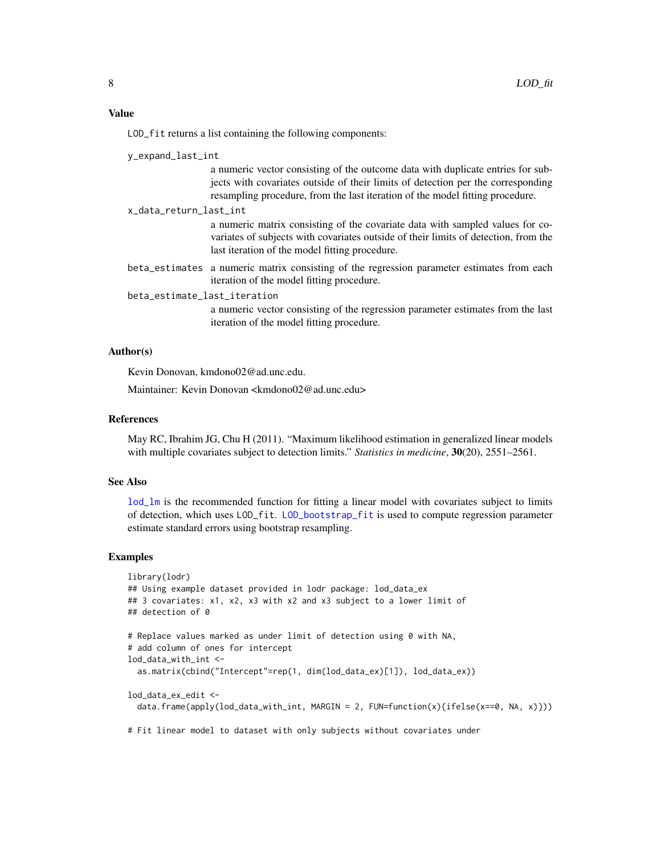<span id="page-7-0"></span>LOD\_fit returns a list containing the following components:

y\_expand\_last\_int

a numeric vector consisting of the outcome data with duplicate entries for subjects with covariates outside of their limits of detection per the corresponding resampling procedure, from the last iteration of the model fitting procedure.

x\_data\_return\_last\_int

a numeric matrix consisting of the covariate data with sampled values for covariates of subjects with covariates outside of their limits of detection, from the last iteration of the model fitting procedure.

beta\_estimates a numeric matrix consisting of the regression parameter estimates from each iteration of the model fitting procedure.

beta\_estimate\_last\_iteration

a numeric vector consisting of the regression parameter estimates from the last iteration of the model fitting procedure.

#### Author(s)

Kevin Donovan, kmdono02@ad.unc.edu.

Maintainer: Kevin Donovan <kmdono02@ad.unc.edu>

#### References

May RC, Ibrahim JG, Chu H (2011). "Maximum likelihood estimation in generalized linear models with multiple covariates subject to detection limits." *Statistics in medicine*, 30(20), 2551–2561.

#### See Also

[lod\\_lm](#page-8-1) is the recommended function for fitting a linear model with covariates subject to limits of detection, which uses LOD\_fit. [LOD\\_bootstrap\\_fit](#page-3-1) is used to compute regression parameter estimate standard errors using bootstrap resampling.

#### Examples

```
library(lodr)
## Using example dataset provided in lodr package: lod_data_ex
## 3 covariates: x1, x2, x3 with x2 and x3 subject to a lower limit of
## detection of 0
# Replace values marked as under limit of detection using 0 with NA,
# add column of ones for intercept
lod_data_with_int <-
 as.matrix(cbind("Intercept"=rep(1, dim(lod_data_ex)[1]), lod_data_ex))
lod_data_ex_edit <-
 data.frame(apply(lod_data_with_int, MARGIN = 2, FUN=function(x){ifelse(x==0, NA, x)}))
```
# Fit linear model to dataset with only subjects without covariates under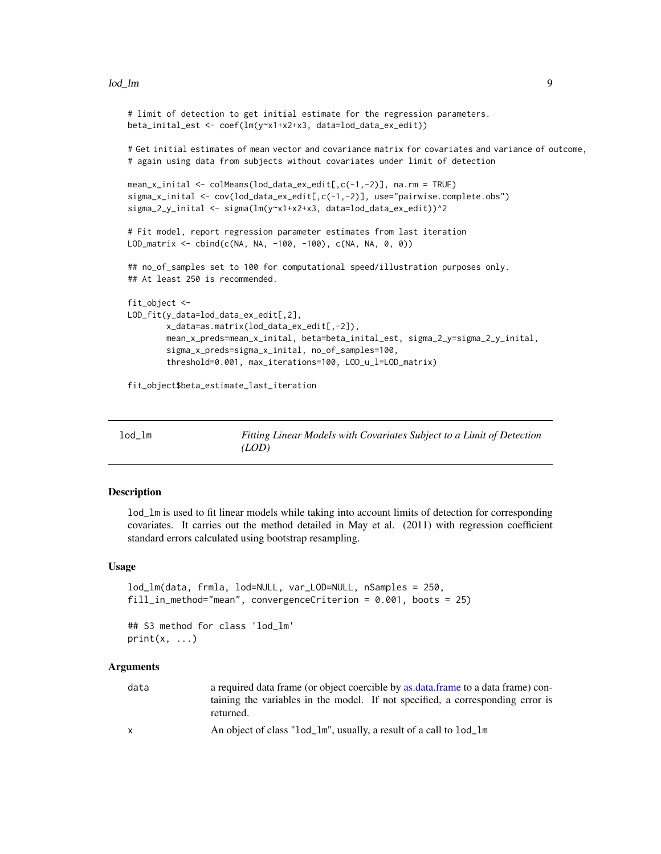#### <span id="page-8-0"></span>lod\_lm 9

```
# limit of detection to get initial estimate for the regression parameters.
beta_inital_est <- coef(lm(y~x1+x2+x3, data=lod_data_ex_edit))
# Get initial estimates of mean vector and covariance matrix for covariates and variance of outcome,
# again using data from subjects without covariates under limit of detection
mean_x_inital <- colMeans(lod_data_ex_edit[,c(-1,-2)], na.rm = TRUE)
sigma_x_inital <- cov(lod_data_ex_edit[,c(-1,-2)], use="pairwise.complete.obs")
sigma_2_y_inital <- sigma(lm(y~x1+x2+x3, data=lod_data_ex_edit))^2
# Fit model, report regression parameter estimates from last iteration
LOD_matrix <- cbind(c(NA, NA, -100, -100), c(NA, NA, 0, 0))
## no_of_samples set to 100 for computational speed/illustration purposes only.
## At least 250 is recommended.
fit_object <-
LOD_fit(y_data=lod_data_ex_edit[,2],
       x_data=as.matrix(lod_data_ex_edit[,-2]),
       mean_x_preds=mean_x_inital, beta=beta_inital_est, sigma_2_y=sigma_2_y_inital,
       sigma_x_preds=sigma_x_inital, no_of_samples=100,
        threshold=0.001, max_iterations=100, LOD_u_l=LOD_matrix)
fit_object$beta_estimate_last_iteration
```
<span id="page-8-1"></span>lod\_lm *Fitting Linear Models with Covariates Subject to a Limit of Detection (LOD)*

## Description

lod\_lm is used to fit linear models while taking into account limits of detection for corresponding covariates. It carries out the method detailed in May et al. (2011) with regression coefficient standard errors calculated using bootstrap resampling.

#### Usage

```
lod_lm(data, frmla, lod=NULL, var_LOD=NULL, nSamples = 250,
fill_in_method="mean", convergenceCriterion = 0.001, boots = 25)
```
## S3 method for class 'lod\_lm'  $print(x, \ldots)$ 

## **Arguments**

| data         | a required data frame (or object coercible by as data frame to a data frame) con- |
|--------------|-----------------------------------------------------------------------------------|
|              | taining the variables in the model. If not specified, a corresponding error is    |
|              | returned.                                                                         |
| $\mathsf{x}$ | An object of class "lod_lm", usually, a result of a call to lod_lm                |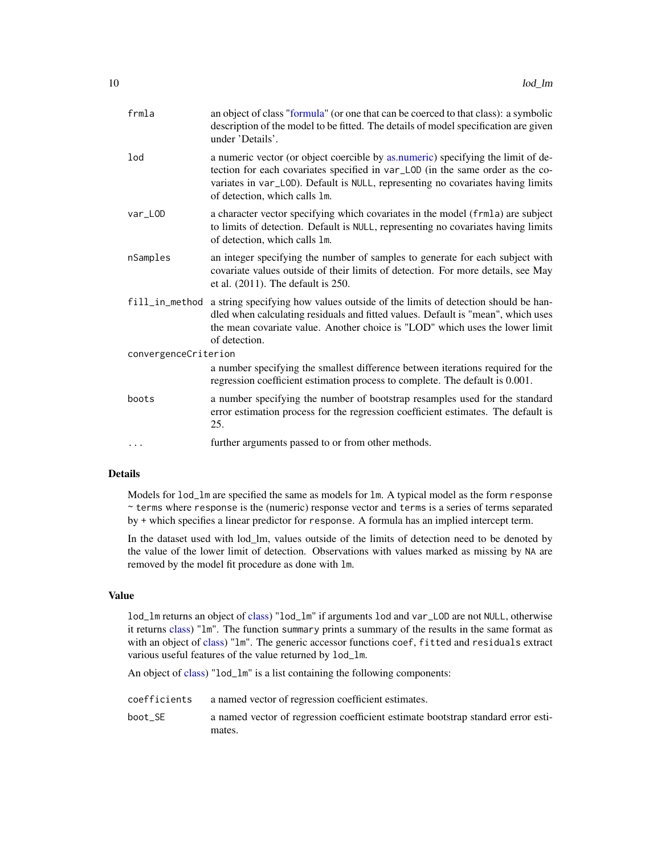<span id="page-9-0"></span>

| frmla                | an object of class "formula" (or one that can be coerced to that class): a symbolic<br>description of the model to be fitted. The details of model specification are given<br>under 'Details'.                                                                                         |  |
|----------------------|----------------------------------------------------------------------------------------------------------------------------------------------------------------------------------------------------------------------------------------------------------------------------------------|--|
| lod                  | a numeric vector (or object coercible by as numeric) specifying the limit of de-<br>tection for each covariates specified in var_LOD (in the same order as the co-<br>variates in var_LOD). Default is NULL, representing no covariates having limits<br>of detection, which calls 1m. |  |
| var_LOD              | a character vector specifying which covariates in the model (frmla) are subject<br>to limits of detection. Default is NULL, representing no covariates having limits<br>of detection, which calls 1m.                                                                                  |  |
| nSamples             | an integer specifying the number of samples to generate for each subject with<br>covariate values outside of their limits of detection. For more details, see May<br>et al. $(2011)$ . The default is $250$ .                                                                          |  |
|                      | fill_in_method a string specifying how values outside of the limits of detection should be han-<br>dled when calculating residuals and fitted values. Default is "mean", which uses<br>the mean covariate value. Another choice is "LOD" which uses the lower limit<br>of detection.   |  |
| convergenceCriterion |                                                                                                                                                                                                                                                                                        |  |
|                      | a number specifying the smallest difference between iterations required for the<br>regression coefficient estimation process to complete. The default is 0.001.                                                                                                                        |  |
| boots                | a number specifying the number of bootstrap resamples used for the standard<br>error estimation process for the regression coefficient estimates. The default is<br>25.                                                                                                                |  |
| .                    | further arguments passed to or from other methods.                                                                                                                                                                                                                                     |  |
|                      |                                                                                                                                                                                                                                                                                        |  |

## Details

Models for  $lod\_lm$  are specified the same as models for  $lm$ . A typical model as the form response ~ terms where response is the (numeric) response vector and terms is a series of terms separated by + which specifies a linear predictor for response. A formula has an implied intercept term.

In the dataset used with lod\_lm, values outside of the limits of detection need to be denoted by the value of the lower limit of detection. Observations with values marked as missing by NA are removed by the model fit procedure as done with lm.

## Value

lod\_lm returns an object of [class\)](#page-0-0) "lod\_lm" if arguments lod and var\_LOD are not NULL, otherwise it returns [class\)](#page-0-0) "lm". The function summary prints a summary of the results in the same format as with an object of [class\)](#page-0-0) "lm". The generic accessor functions coef, fitted and residuals extract various useful features of the value returned by lod\_lm.

An object of [class\)](#page-0-0) "lod\_lm" is a list containing the following components:

- coefficients a named vector of regression coefficient estimates.
- boot\_SE a named vector of regression coefficient estimate bootstrap standard error estimates.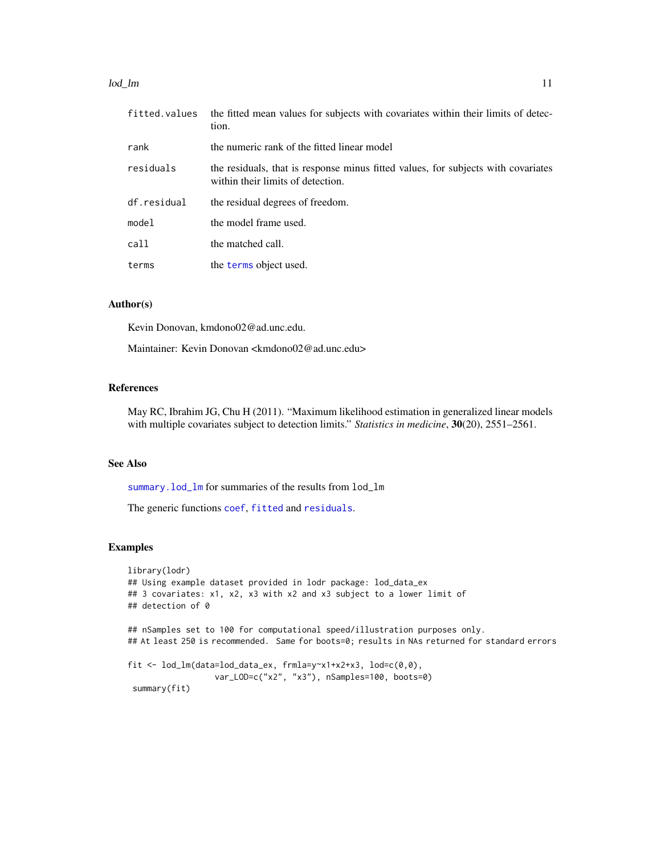#### <span id="page-10-0"></span>lod\_lm and 11 and 12 and 12 and 12 and 12 and 12 and 12 and 12 and 12 and 12 and 12 and 12 and 12 and 12 and 12 and 12 and 12 and 12 and 12 and 12 and 12 and 12 and 12 and 12 and 12 and 12 and 12 and 12 and 12 and 12 and 1

| fitted.values | the fitted mean values for subjects with covariates within their limits of detec-<br>tion.                             |
|---------------|------------------------------------------------------------------------------------------------------------------------|
| rank          | the numeric rank of the fitted linear model                                                                            |
| residuals     | the residuals, that is response minus fitted values, for subjects with covariates<br>within their limits of detection. |
| df.residual   | the residual degrees of freedom.                                                                                       |
| mode1         | the model frame used.                                                                                                  |
| call          | the matched call.                                                                                                      |
| terms         | the terms object used.                                                                                                 |

#### Author(s)

Kevin Donovan, kmdono02@ad.unc.edu.

Maintainer: Kevin Donovan <kmdono02@ad.unc.edu>

## References

May RC, Ibrahim JG, Chu H (2011). "Maximum likelihood estimation in generalized linear models with multiple covariates subject to detection limits." *Statistics in medicine*, 30(20), 2551–2561.

## See Also

[summary.lod\\_lm](#page-12-1) for summaries of the results from lod\_lm

The generic functions [coef](#page-0-0), [fitted](#page-0-0) and [residuals](#page-0-0).

## Examples

```
library(lodr)
## Using example dataset provided in lodr package: lod_data_ex
## 3 covariates: x1, x2, x3 with x2 and x3 subject to a lower limit of
## detection of 0
## nSamples set to 100 for computational speed/illustration purposes only.
## At least 250 is recommended. Same for boots=0; results in NAs returned for standard errors
fit <- lod_lm(data=lod_data_ex, frmla=y~x1+x2+x3, lod=c(0,0),
                  var_LOD=c("x2", "x3"), nSamples=100, boots=0)
 summary(fit)
```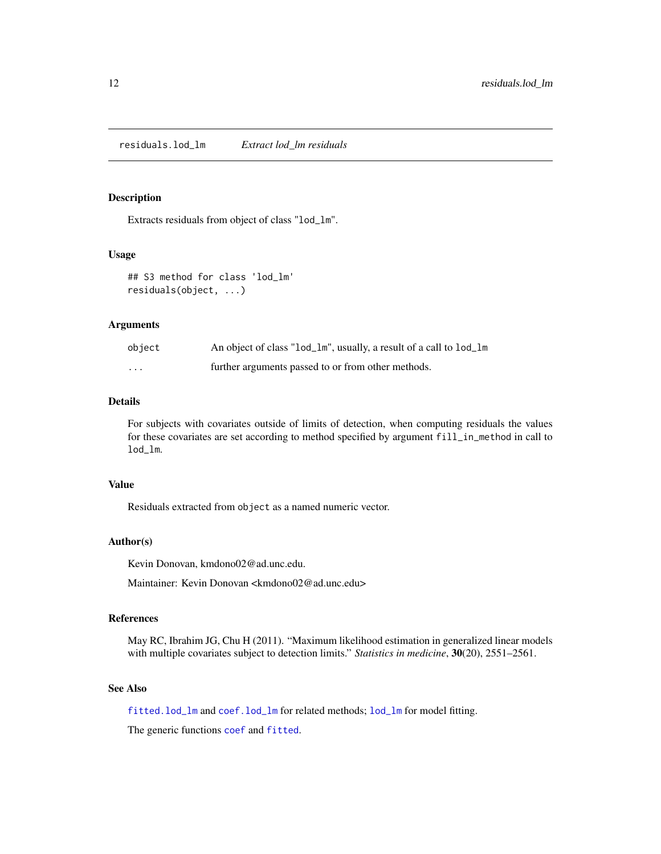## <span id="page-11-1"></span><span id="page-11-0"></span>Description

Extracts residuals from object of class "lod\_lm".

## Usage

```
## S3 method for class 'lod_lm'
residuals(object, ...)
```
## Arguments

| object   | An object of class "lod_lm", usually, a result of a call to lod_lm |
|----------|--------------------------------------------------------------------|
| $\cdots$ | further arguments passed to or from other methods.                 |

#### Details

For subjects with covariates outside of limits of detection, when computing residuals the values for these covariates are set according to method specified by argument fill\_in\_method in call to lod\_lm.

## Value

Residuals extracted from object as a named numeric vector.

## Author(s)

Kevin Donovan, kmdono02@ad.unc.edu.

Maintainer: Kevin Donovan <kmdono02@ad.unc.edu>

#### References

May RC, Ibrahim JG, Chu H (2011). "Maximum likelihood estimation in generalized linear models with multiple covariates subject to detection limits." *Statistics in medicine*, 30(20), 2551–2561.

## See Also

[fitted.lod\\_lm](#page-2-1) and [coef.lod\\_lm](#page-1-1) for related methods; [lod\\_lm](#page-8-1) for model fitting.

The generic functions [coef](#page-0-0) and [fitted](#page-0-0).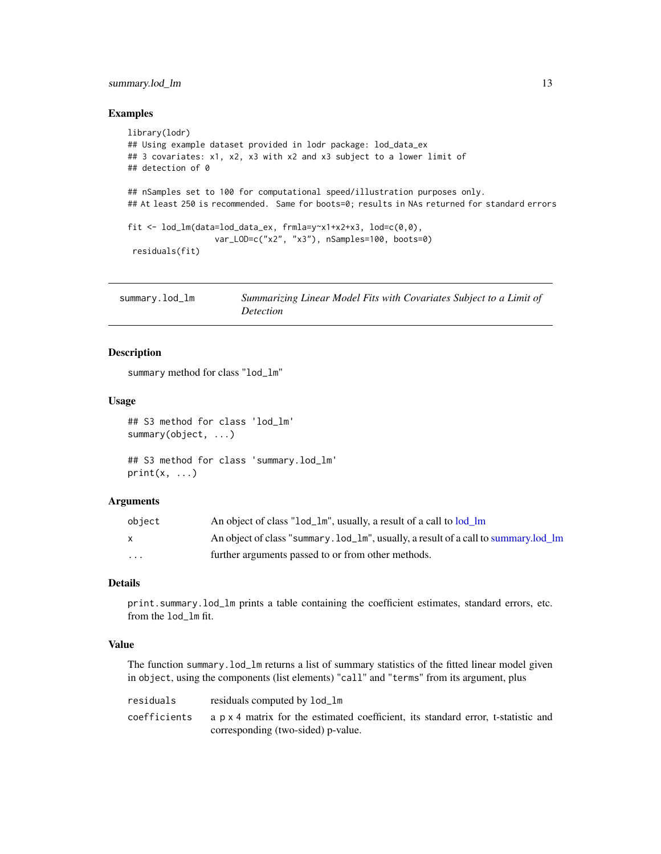## <span id="page-12-0"></span>summary.lod\_lm 13

#### Examples

```
library(lodr)
## Using example dataset provided in lodr package: lod_data_ex
## 3 covariates: x1, x2, x3 with x2 and x3 subject to a lower limit of
## detection of 0
## nSamples set to 100 for computational speed/illustration purposes only.
## At least 250 is recommended. Same for boots=0; results in NAs returned for standard errors
fit <- lod_lm(data=lod_data_ex, frmla=y~x1+x2+x3, lod=c(0,0),
                  var_LOD=c("x2", "x3"), nSamples=100, boots=0)
 residuals(fit)
```
<span id="page-12-1"></span>

| summary.lod_lm | Summarizing Linear Model Fits with Covariates Subject to a Limit of |
|----------------|---------------------------------------------------------------------|
|                | Detection                                                           |

## Description

summary method for class "lod\_lm"

#### Usage

```
## S3 method for class 'lod_lm'
summary(object, ...)
```

```
## S3 method for class 'summary.lod_lm'
print(x, \ldots)
```
## Arguments

| object | An object of class "lod_lm", usually, a result of a call to lod lm                   |
|--------|--------------------------------------------------------------------------------------|
| X      | An object of class "summary. lod_1m", usually, a result of a call to summary. lod 1m |
| .      | further arguments passed to or from other methods.                                   |

#### Details

print.summary.lod\_lm prints a table containing the coefficient estimates, standard errors, etc. from the lod\_lm fit.

## Value

The function summary.lod\_lm returns a list of summary statistics of the fitted linear model given in object, using the components (list elements) "call" and "terms" from its argument, plus

| residuals    | residuals computed by 1od_1m                                                      |
|--------------|-----------------------------------------------------------------------------------|
| coefficients | a p x 4 matrix for the estimated coefficient, its standard error, t-statistic and |
|              | corresponding (two-sided) p-value.                                                |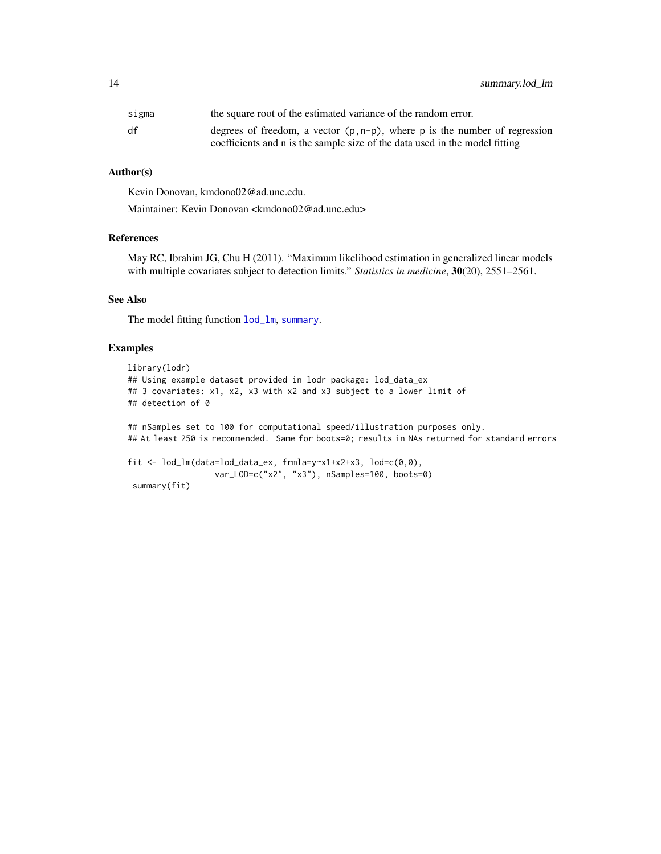<span id="page-13-0"></span>14 summary.lod\_lm

| sigma | the square root of the estimated variance of the random error.                |
|-------|-------------------------------------------------------------------------------|
| df    | degrees of freedom, a vector $(p, n-p)$ , where p is the number of regression |
|       | coefficients and n is the sample size of the data used in the model fitting   |

## Author(s)

Kevin Donovan, kmdono02@ad.unc.edu.

Maintainer: Kevin Donovan <kmdono02@ad.unc.edu>

## References

May RC, Ibrahim JG, Chu H (2011). "Maximum likelihood estimation in generalized linear models with multiple covariates subject to detection limits." *Statistics in medicine*, 30(20), 2551–2561.

## See Also

The model fitting function [lod\\_lm](#page-8-1), [summary](#page-0-0).

## Examples

```
library(lodr)
## Using example dataset provided in lodr package: lod_data_ex
## 3 covariates: x1, x2, x3 with x2 and x3 subject to a lower limit of
## detection of 0
## nSamples set to 100 for computational speed/illustration purposes only.
## At least 250 is recommended. Same for boots=0; results in NAs returned for standard errors
fit <- lod_lm(data=lod_data_ex, frmla=y~x1+x2+x3, lod=c(0,0),
                  var_LOD=c("x2", "x3"), nSamples=100, boots=0)
 summary(fit)
```